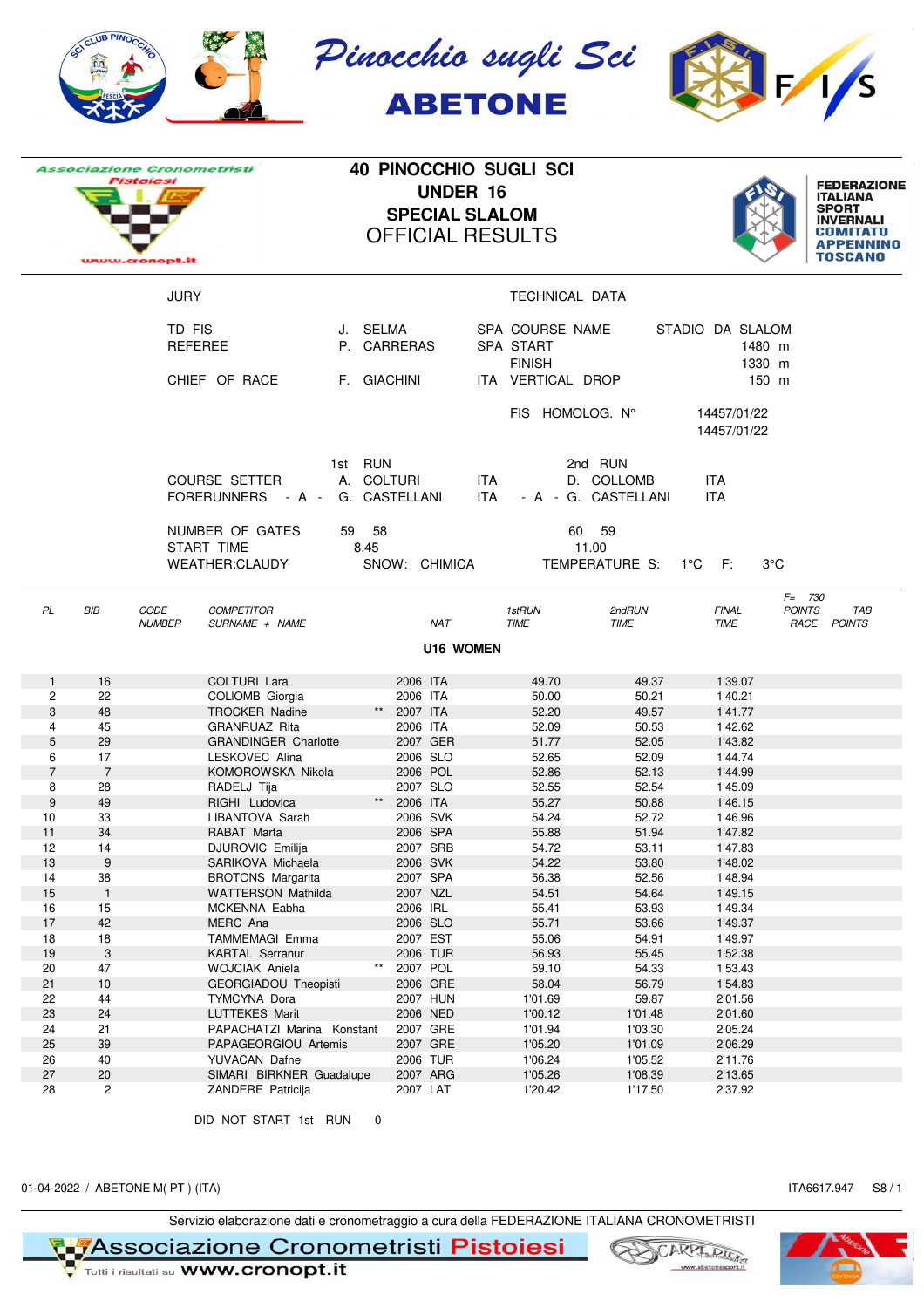| SO CLUB PIN                                                             |          | Pinocchio sugli Sci<br><b>ABETONE</b>                                                                |                  |
|-------------------------------------------------------------------------|----------|------------------------------------------------------------------------------------------------------|------------------|
| <b>Associazione Cronometristi</b><br><b>Pistolesi</b><br>www.cronopt.it |          | <b>40 PINOCCHIO SUGLI SCI</b><br><b>UNDER 16</b><br><b>SPECIAL SLALOM</b><br><b>OFFICIAL RESULTS</b> |                  |
| JURY                                                                    |          | TECHNICAL DATA                                                                                       |                  |
| TD FIS                                                                  | J. SELMA | SPA COURSE NAME                                                                                      | STADIO DA SLALOM |

|                |                           |               | <b>COURSE SETTER</b>        |              | A. COLTURI    |                  | <b>ITA</b> |             |    | D. COLLOMB          |     | <b>ITA</b>   |                            |             |  |
|----------------|---------------------------|---------------|-----------------------------|--------------|---------------|------------------|------------|-------------|----|---------------------|-----|--------------|----------------------------|-------------|--|
|                |                           |               | FORERUNNERS - A -           |              | G. CASTELLANI |                  | <b>ITA</b> |             |    | - A - G. CASTELLANI |     | <b>ITA</b>   |                            |             |  |
|                |                           |               |                             |              |               |                  |            |             |    |                     |     |              |                            |             |  |
|                |                           |               | NUMBER OF GATES<br>59       | 58           |               |                  |            |             | 60 | 59                  |     |              |                            |             |  |
|                |                           |               | START TIME                  | 8.45         |               |                  |            |             |    | 11.00               |     |              |                            |             |  |
|                |                           |               | <b>WEATHER:CLAUDY</b>       |              |               | SNOW: CHIMICA    |            |             |    | TEMPERATURE S:      | 1°C | F:           | $3^{\circ}$ C              |             |  |
|                |                           |               |                             |              |               |                  |            |             |    |                     |     |              |                            |             |  |
| PL             | BIB                       | CODE          | <b>COMPETITOR</b>           |              |               |                  |            | 1stRUN      |    | 2ndRUN              |     | <b>FINAL</b> | $F = 730$<br><b>POINTS</b> | TAB         |  |
|                |                           | <b>NUMBER</b> | SURNAME + NAME              |              |               | <b>NAT</b>       |            | <b>TIME</b> |    | <b>TIME</b>         |     | <b>TIME</b>  |                            | RACE POINTS |  |
|                |                           |               |                             |              |               | <b>U16 WOMEN</b> |            |             |    |                     |     |              |                            |             |  |
|                |                           |               |                             |              |               |                  |            |             |    |                     |     |              |                            |             |  |
| $\mathbf{1}$   | 16                        |               | COLTURI Lara                |              | 2006 ITA      |                  |            | 49.70       |    | 49.37               |     | 1'39.07      |                            |             |  |
| $\overline{c}$ | 22                        |               | COLIOMB Giorgia             |              | 2006 ITA      |                  |            | 50.00       |    | 50.21               |     | 1'40.21      |                            |             |  |
| 3              | 48                        |               | <b>TROCKER Nadine</b>       | $\star\star$ | 2007 ITA      |                  |            | 52.20       |    | 49.57               |     | 1'41.77      |                            |             |  |
| $\overline{4}$ | 45                        |               | <b>GRANRUAZ Rita</b>        |              | 2006 ITA      |                  |            | 52.09       |    | 50.53               |     | 1'42.62      |                            |             |  |
| 5              | 29                        |               | <b>GRANDINGER Charlotte</b> |              | 2007 GER      |                  |            | 51.77       |    | 52.05               |     | 1'43.82      |                            |             |  |
| 6              | 17                        |               | LESKOVEC Alina              |              | 2006 SLO      |                  |            | 52.65       |    | 52.09               |     | 1'44.74      |                            |             |  |
| $\overline{7}$ | $\overline{7}$            |               | KOMOROWSKA Nikola           |              | 2006 POL      |                  |            | 52.86       |    | 52.13               |     | 1'44.99      |                            |             |  |
| 8              | 28                        |               | RADELJ Tija                 |              | 2007 SLO      |                  |            | 52.55       |    | 52.54               |     | 1'45.09      |                            |             |  |
| $9\,$          | 49                        |               | RIGHI Ludovica              | $\star\star$ | 2006 ITA      |                  |            | 55.27       |    | 50.88               |     | 1'46.15      |                            |             |  |
| 10             | 33                        |               | LIBANTOVA Sarah             |              | 2006 SVK      |                  |            | 54.24       |    | 52.72               |     | 1'46.96      |                            |             |  |
| 11             | 34                        |               | RABAT Marta                 |              | 2006 SPA      |                  |            | 55.88       |    | 51.94               |     | 1'47.82      |                            |             |  |
| 12             | 14                        |               | <b>DJUROVIC Emilija</b>     |              | 2007 SRB      |                  |            | 54.72       |    | 53.11               |     | 1'47.83      |                            |             |  |
| 13             | 9                         |               | SARIKOVA Michaela           |              | 2006 SVK      |                  |            | 54.22       |    | 53.80               |     | 1'48.02      |                            |             |  |
| 14             | 38                        |               | <b>BROTONS Margarita</b>    |              | 2007 SPA      |                  |            | 56.38       |    | 52.56               |     | 1'48.94      |                            |             |  |
| 15             | $\mathbf{1}$              |               | <b>WATTERSON Mathilda</b>   |              | 2007 NZL      |                  |            | 54.51       |    | 54.64               |     | 1'49.15      |                            |             |  |
| 16             | 15                        |               | MCKENNA Eabha               |              | 2006 IRL      |                  |            | 55.41       |    | 53.93               |     | 1'49.34      |                            |             |  |
| 17             | 42                        |               | MERC Ana                    |              | 2006 SLO      |                  |            | 55.71       |    | 53.66               |     | 1'49.37      |                            |             |  |
| 18             | 18                        |               | TAMMEMAGI Emma              |              | 2007 EST      |                  |            | 55.06       |    | 54.91               |     | 1'49.97      |                            |             |  |
| 19             | $\ensuremath{\mathsf{3}}$ |               | <b>KARTAL Serranur</b>      |              | 2006 TUR      |                  |            | 56.93       |    | 55.45               |     | 1'52.38      |                            |             |  |
| 20             | 47                        |               | <b>WOJCIAK Aniela</b>       | $***$        | 2007 POL      |                  |            | 59.10       |    | 54.33               |     | 1'53.43      |                            |             |  |
| 21             | 10                        |               | <b>GEORGIADOU Theopisti</b> |              | 2006 GRE      |                  |            | 58.04       |    | 56.79               |     | 1'54.83      |                            |             |  |
| 22             | 44                        |               | TYMCYNA Dora                |              | 2007 HUN      |                  |            | 1'01.69     |    | 59.87               |     | 2'01.56      |                            |             |  |
| 23             | 24                        |               | <b>LUTTEKES Marit</b>       |              | 2006 NED      |                  |            | 1'00.12     |    | 1'01.48             |     | 2'01.60      |                            |             |  |
| 24             | 21                        |               | PAPACHATZI Marina Konstant  |              | 2007 GRE      |                  |            | 1'01.94     |    | 1'03.30             |     | 2'05.24      |                            |             |  |
| 25             | 39                        |               | PAPAGEORGIOU Artemis        |              | 2007 GRE      |                  |            | 1'05.20     |    | 1'01.09             |     | 2'06.29      |                            |             |  |
| 26             | 40                        |               | <b>YUVACAN Dafne</b>        |              | 2006 TUR      |                  |            | 1'06.24     |    | 1'05.52             |     | 2'11.76      |                            |             |  |
| 27             | $20\,$                    |               | SIMARI BIRKNER Guadalupe    |              | 2007 ARG      |                  |            | 1'05.26     |    | 1'08.39             |     | 2'13.65      |                            |             |  |
| 28             | $\overline{2}$            |               | ZANDERE Patricija           |              | 2007 LAT      |                  |            | 1'20.42     |    | 1'17.50             |     | 2'37.92      |                            |             |  |
|                |                           |               |                             |              |               |                  |            |             |    |                     |     |              |                            |             |  |
|                |                           |               | DID NOT START 1st RUN       | 0            |               |                  |            |             |    |                     |     |              |                            |             |  |

REFEREE P. CARRERAS SPA START CONTRACTED 1480 m

CHIEF OF RACE F. GIACHINI ITA VERTICAL DROP 150 m

1st RUN 2nd RUN

FINISH 1330 m

FIS HOMOLOG. N° 14457/01/22

14457/01/22

**FEDERAZIONE<br>ITALIANA<br>SPORT<br>INVERNALI** 

**COMITATO APPENNINO TOSCANO** 

01-04-2022 / ABETONE M(PT) (ITA) ITA6617.947 S8 / 1

Servizio elaborazione dati e cronometraggio a cura della FEDERAZIONE ITALIANA CRONOMETRISTI

**NASSOCiazione Cronometristi Pistoiesi** 





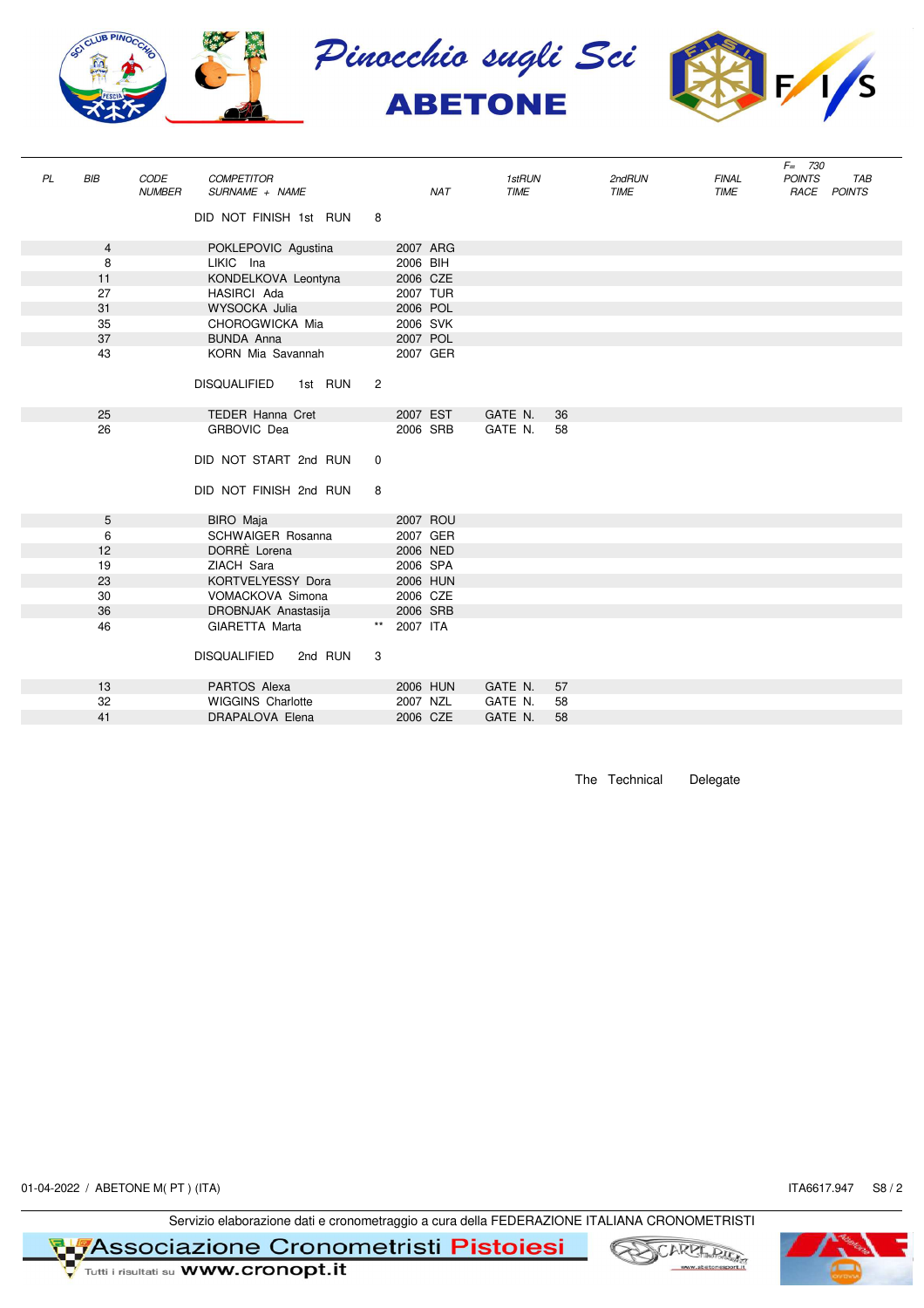

|    |     |               |                                |                |          |            |             |    |             |              | $F = 730$     |             |
|----|-----|---------------|--------------------------------|----------------|----------|------------|-------------|----|-------------|--------------|---------------|-------------|
| PL | BIB | CODE          | <b>COMPETITOR</b>              |                |          |            | 1stRUN      |    | 2ndRUN      | <b>FINAL</b> | <b>POINTS</b> | <b>TAB</b>  |
|    |     | <b>NUMBER</b> | SURNAME + NAME                 |                |          | <b>NAT</b> | <b>TIME</b> |    | <b>TIME</b> | <b>TIME</b>  |               | RACE POINTS |
|    |     |               | DID NOT FINISH 1st RUN         | 8              |          |            |             |    |             |              |               |             |
|    |     |               |                                |                |          |            |             |    |             |              |               |             |
|    | 4   |               | POKLEPOVIC Agustina            |                | 2007 ARG |            |             |    |             |              |               |             |
|    | 8   |               | LIKIC Ina                      |                | 2006 BIH |            |             |    |             |              |               |             |
|    | 11  |               | KONDELKOVA Leontyna            |                | 2006 CZE |            |             |    |             |              |               |             |
|    | 27  |               | HASIRCI Ada                    |                | 2007 TUR |            |             |    |             |              |               |             |
|    | 31  |               | WYSOCKA Julia                  |                | 2006 POL |            |             |    |             |              |               |             |
|    | 35  |               | CHOROGWICKA Mia                |                | 2006 SVK |            |             |    |             |              |               |             |
|    | 37  |               | <b>BUNDA Anna</b>              |                | 2007 POL |            |             |    |             |              |               |             |
|    | 43  |               | KORN Mia Savannah              |                | 2007 GER |            |             |    |             |              |               |             |
|    |     |               |                                |                |          |            |             |    |             |              |               |             |
|    |     |               | <b>DISQUALIFIED</b><br>1st RUN | $\overline{2}$ |          |            |             |    |             |              |               |             |
|    |     |               |                                |                |          |            |             |    |             |              |               |             |
|    | 25  |               | <b>TEDER Hanna Cret</b>        |                | 2007 EST |            | GATE N.     | 36 |             |              |               |             |
|    | 26  |               | GRBOVIC Dea                    |                | 2006 SRB |            | GATE N.     | 58 |             |              |               |             |
|    |     |               |                                |                |          |            |             |    |             |              |               |             |
|    |     |               | DID NOT START 2nd RUN          | $\mathbf 0$    |          |            |             |    |             |              |               |             |
|    |     |               |                                |                |          |            |             |    |             |              |               |             |
|    |     |               | DID NOT FINISH 2nd RUN         | 8              |          |            |             |    |             |              |               |             |
|    |     |               |                                |                |          |            |             |    |             |              |               |             |
|    | 5   |               | BIRO Maja                      |                | 2007 ROU |            |             |    |             |              |               |             |
|    | 6   |               | <b>SCHWAIGER Rosanna</b>       |                | 2007 GER |            |             |    |             |              |               |             |
|    | 12  |               | DORRÈ Lorena                   |                | 2006 NED |            |             |    |             |              |               |             |
|    | 19  |               | ZIACH Sara                     |                | 2006 SPA |            |             |    |             |              |               |             |
|    | 23  |               | KORTVELYESSY Dora              |                | 2006 HUN |            |             |    |             |              |               |             |
|    | 30  |               | VOMACKOVA Simona               |                | 2006 CZE |            |             |    |             |              |               |             |
|    | 36  |               | DROBNJAK Anastasija            |                | 2006 SRB |            |             |    |             |              |               |             |
|    | 46  |               | GIARETTA Marta                 |                | 2007 ITA |            |             |    |             |              |               |             |
|    |     |               | <b>DISQUALIFIED</b>            |                |          |            |             |    |             |              |               |             |
|    |     |               | 2nd RUN                        | 3              |          |            |             |    |             |              |               |             |
|    | 13  |               | PARTOS Alexa                   |                | 2006 HUN |            | GATE N.     | 57 |             |              |               |             |
|    | 32  |               | <b>WIGGINS Charlotte</b>       |                | 2007 NZL |            | GATE N.     | 58 |             |              |               |             |
|    | 41  |               | DRAPALOVA Elena                |                | 2006 CZE |            | GATE N.     | 58 |             |              |               |             |
|    |     |               |                                |                |          |            |             |    |             |              |               |             |

The Technical Delegate

01-04-2022 / ABETONE M(PT) (ITA) S8 / 2

Servizio elaborazione dati e cronometraggio a cura della FEDERAZIONE ITALIANA CRONOMETRISTI

**TASSOCIAZIONE Cronometristi Pistoiesi**<br>V Tutti i risultati su WWW.cronopt.it



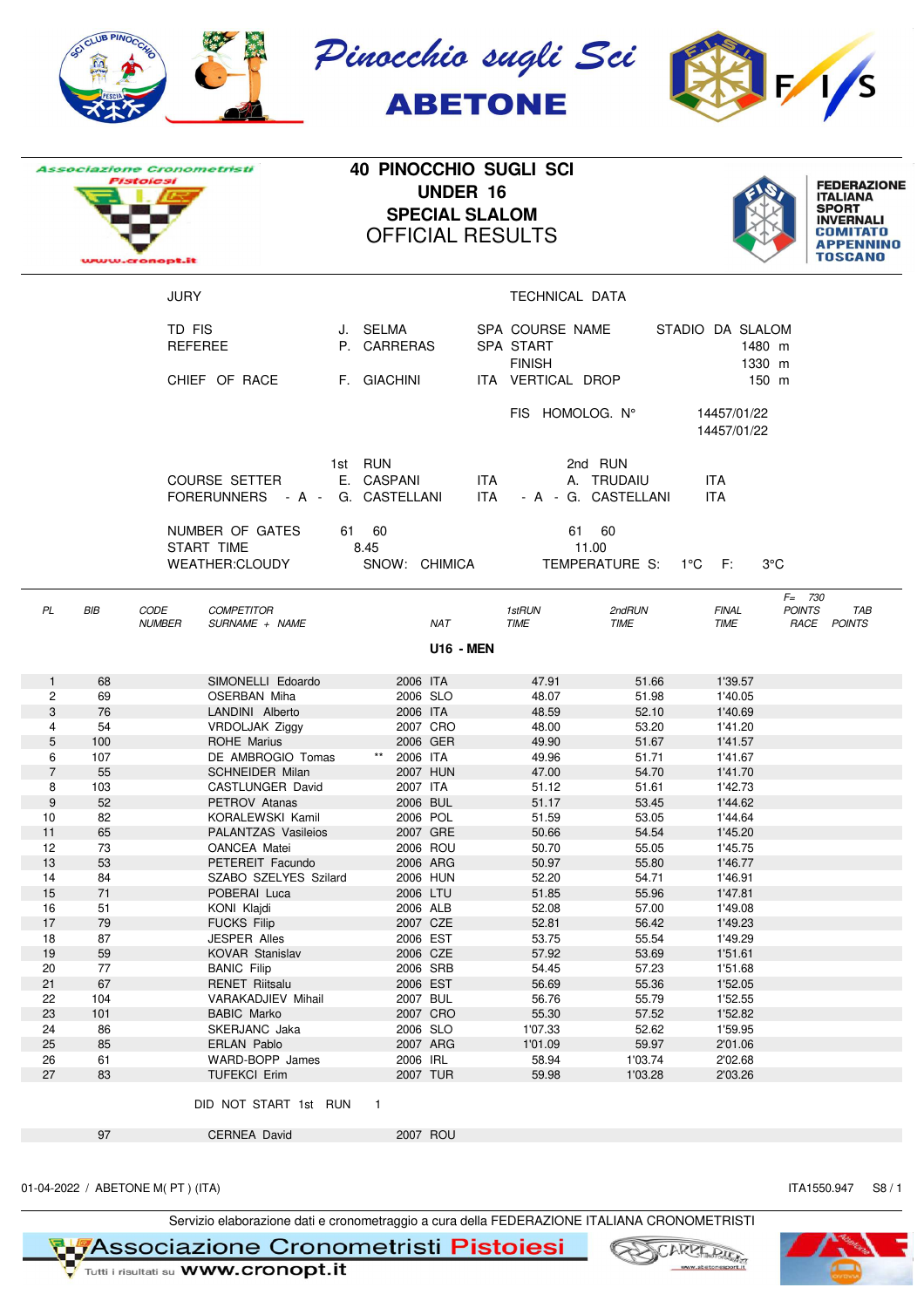| SCI CLUB PIN                                                                   | Pinocchio sugli .<br><b>ABETONE</b>                                                                  |
|--------------------------------------------------------------------------------|------------------------------------------------------------------------------------------------------|
| <i><b>Associazione Cronometristi</b></i><br><b>Pistolesi</b><br>www.cronopt.it | <b>40 PINOCCHIO SUGLI SCI</b><br><b>UNDER 16</b><br><b>SPECIAL SLALOM</b><br><b>OFFICIAL RESULTS</b> |



|                     |           | <i>Associazione Cronometristi</i><br>Pistolesi<br>www.cronopt.it           |                  |                         | <b>UNDER 16</b><br><b>SPECIAL SLALOM</b> | 40 PINOCCHIO SUGLI SCI<br><b>OFFICIAL RESULTS</b> |                                                       |                                      | <b>FEDERAZIONE</b><br><b>ITALIANA</b><br><b>SPORT</b><br><b>INVERNALI</b><br>COMITATO<br>APPENNINO<br><b>TOSCANO</b> |
|---------------------|-----------|----------------------------------------------------------------------------|------------------|-------------------------|------------------------------------------|---------------------------------------------------|-------------------------------------------------------|--------------------------------------|----------------------------------------------------------------------------------------------------------------------|
|                     |           | JURY                                                                       |                  |                         |                                          | TECHNICAL DATA                                    |                                                       |                                      |                                                                                                                      |
|                     |           | TD FIS<br><b>REFEREE</b>                                                   |                  | J. SELMA<br>P. CARRERAS |                                          | SPA COURSE NAME<br>SPA START<br><b>FINISH</b>     |                                                       | STADIO DA SLALOM<br>1480 m<br>1330 m |                                                                                                                      |
|                     |           | CHIEF OF RACE                                                              |                  | F. GIACHINI             |                                          | ITA VERTICAL DROP                                 |                                                       | 150 m                                |                                                                                                                      |
|                     |           |                                                                            |                  |                         |                                          | FIS HOMOLOG. N°                                   |                                                       | 14457/01/22<br>14457/01/22           |                                                                                                                      |
|                     |           | <b>COURSE SETTER</b><br>FORERUNNERS - A - G. CASTELLANI<br>NUMBER OF GATES | 1st RUN<br>61 60 | E. CASPANI              | ITA.<br>ITA                              |                                                   | 2nd RUN<br>A. TRUDAIU<br>- A - G. CASTELLANI<br>61 60 | ITA.<br>ITA.                         |                                                                                                                      |
|                     |           | START TIME<br><b>WEATHER:CLOUDY</b>                                        | 8.45             | SNOW: CHIMICA           |                                          |                                                   | 11.00<br>TEMPERATURE S:                               | 1°C F:                               | $3^{\circ}$ C                                                                                                        |
| PL                  | BIB       | <b>COMPETITOR</b><br>CODE<br>SURNAME + NAME<br><b>NUMBER</b>               |                  |                         | NAT                                      | 1stRUN<br><b>TIME</b>                             | 2ndRUN<br><b>TIME</b>                                 | <b>FINAL</b><br><b>TIME</b>          | $F = 730$<br><b>POINTS</b><br>TAB<br>RACE POINTS                                                                     |
|                     |           |                                                                            |                  |                         | <b>U16 - MEN</b>                         |                                                   |                                                       |                                      |                                                                                                                      |
| $\mathbf{1}$        | 68        | SIMONELLI Edoardo                                                          |                  | 2006 ITA                |                                          | 47.91                                             | 51.66                                                 | 1'39.57                              |                                                                                                                      |
| $\overline{c}$      | 69        | <b>OSERBAN Miha</b>                                                        |                  | 2006 SLO                |                                          | 48.07                                             | 51.98                                                 | 1'40.05                              |                                                                                                                      |
| 3                   | 76        | LANDINI Alberto                                                            |                  | 2006 ITA                |                                          | 48.59                                             | 52.10                                                 | 1'40.69                              |                                                                                                                      |
| 4                   | 54        | VRDOLJAK Ziggy                                                             |                  | 2007 CRO                |                                          | 48.00                                             | 53.20                                                 | 1'41.20                              |                                                                                                                      |
| 5                   | 100       | <b>ROHE Marius</b>                                                         |                  | 2006 GER                |                                          | 49.90                                             | 51.67                                                 | 1'41.57                              |                                                                                                                      |
| 6<br>$\overline{7}$ | 107<br>55 | DE AMBROGIO Tomas<br><b>SCHNEIDER Milan</b>                                |                  | 2006 ITA<br>2007 HUN    |                                          | 49.96<br>47.00                                    | 51.71<br>54.70                                        | 1'41.67<br>1'41.70                   |                                                                                                                      |
| 8                   | 103       | CASTLUNGER David                                                           |                  | 2007 ITA                |                                          | 51.12                                             | 51.61                                                 | 1'42.73                              |                                                                                                                      |
| 9                   | 52        | PETROV Atanas                                                              |                  | 2006 BUL                |                                          | 51.17                                             | 53.45                                                 | 1'44.62                              |                                                                                                                      |
| 10                  | 82        | KORALEWSKI Kamil                                                           |                  | 2006 POL                |                                          | 51.59                                             | 53.05                                                 | 1'44.64                              |                                                                                                                      |
| 11                  | 65        | PALANTZAS Vasileios                                                        |                  | 2007 GRE                |                                          | 50.66                                             | 54.54                                                 | 1'45.20                              |                                                                                                                      |
| 12                  | 73        | <b>OANCEA Matei</b>                                                        |                  | 2006 ROU                |                                          | 50.70                                             | 55.05                                                 | 1'45.75                              |                                                                                                                      |
| 13                  | 53        | PETEREIT Facundo                                                           |                  | 2006 ARG                |                                          | 50.97                                             | 55.80                                                 | 1'46.77                              |                                                                                                                      |
| 14                  | 84        | SZABO SZELYES Szilard                                                      |                  | 2006 HUN                |                                          | 52.20                                             | 54.71                                                 | 1'46.91                              |                                                                                                                      |
| 15                  | 71        | POBERAI Luca                                                               |                  | 2006 LTU                |                                          | 51.85                                             | 55.96                                                 | 1'47.81                              |                                                                                                                      |
| 16                  | 51        | KONI Klajdi                                                                |                  | 2006 ALB                |                                          | 52.08                                             | 57.00                                                 | 1'49.08                              |                                                                                                                      |
| 17<br>18            | 79<br>87  | <b>FUCKS Filip</b><br><b>JESPER Alles</b>                                  |                  | 2007 CZE<br>2006 EST    |                                          | 52.81<br>53.75                                    | 56.42<br>55.54                                        | 1'49.23<br>1'49.29                   |                                                                                                                      |
| 19                  | 59        | KOVAR Stanislav                                                            |                  | 2006 CZE                |                                          | 57.92                                             | 53.69                                                 | 1'51.61                              |                                                                                                                      |
| 20                  | 77        | <b>BANIC Filip</b>                                                         |                  | 2006 SRB                |                                          | 54.45                                             | 57.23                                                 | 1'51.68                              |                                                                                                                      |
| 21                  | 67        | <b>RENET Riitsalu</b>                                                      |                  | 2006 EST                |                                          | 56.69                                             | 55.36                                                 | 1'52.05                              |                                                                                                                      |
| 22                  | 104       | VARAKADJIEV Mihail                                                         |                  | 2007 BUL                |                                          | 56.76                                             | 55.79                                                 | 1'52.55                              |                                                                                                                      |
| 23                  | 101       | <b>BABIC Marko</b>                                                         |                  | 2007 CRO                |                                          | 55.30                                             | 57.52                                                 | 1'52.82                              |                                                                                                                      |
| 24                  | 86        | SKERJANC Jaka                                                              |                  | 2006 SLO                |                                          | 1'07.33                                           | 52.62                                                 | 1'59.95                              |                                                                                                                      |
| 25                  | 85        | ERLAN Pablo                                                                |                  | 2007 ARG                |                                          | 1'01.09                                           | 59.97                                                 | 2'01.06                              |                                                                                                                      |
| 26                  | 61        | WARD-BOPP James                                                            |                  | 2006 IRL                |                                          | 58.94                                             | 1'03.74                                               | 2'02.68                              |                                                                                                                      |
| 27                  | 83        | <b>TUFEKCI Erim</b>                                                        |                  | 2007 TUR                |                                          | 59.98                                             | 1'03.28                                               | 2'03.26                              |                                                                                                                      |
|                     |           | DID NOT START 1st RUN                                                      |                  | $\blacksquare$          |                                          |                                                   |                                                       |                                      |                                                                                                                      |
|                     | 97        | <b>CERNEA David</b>                                                        |                  | 2007 ROU                |                                          |                                                   |                                                       |                                      |                                                                                                                      |

01-04-2022 / ABETONE M(PT) (ITA) S8 / 1

Servizio elaborazione dati e cronometraggio a cura della FEDERAZIONE ITALIANA CRONOMETRISTI<br>Victoria i risultati su WWW.cronopt.it
Victoria i risultati su WWW.cronopt.it